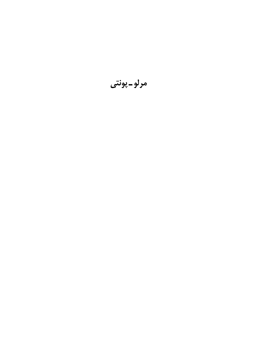مرلو-پونتي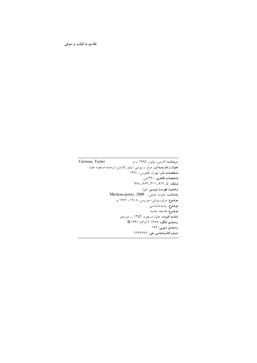#### تقدیم به کیلب و سوفی

Carman, Taylor سرشناسه:کارمن، تیلور، ۱۹۶۵ـــم. عنوان و نام پدیدآور: مرلو ـــ پونتی/ تیلور کارمن؛ ترجمه مسعود علیا. مشخصات نشر: تهران: ققنوس، ١٣٩٠. مشخصات ظاهري: ٣۶٠ ص. شابک: ۵\_۹۲۲\_۳۱۱\_۹۷۸\_۹۷۸ وضعيت فهرست نويسي: فيپا يادداشت: عنوان اصلي: Merleau-ponty, 2008 موضوع: مرلوـ پونتي، موريس، ١٩٠٨ ـ ١٩۶١ م. موضوع: پدیدهشناسی موضوع: فلسفه جديد شناسه افزوده: علیا، مسعود، ۱۳۵۴ ـ، مترجم ردهبندی کنگره: ۱۳۸۹ ۲ ک۴م/۲۴۳۰ B ردەبندى ديويى: ۱۹۴ شماره كتاب شناسى ملى: ٢٢۴٧٧٧٢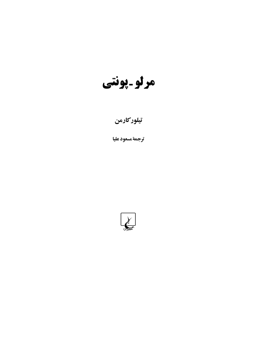مرلو ۔پونتی

# تيلوركارمن

ترجمة مسعود عليا

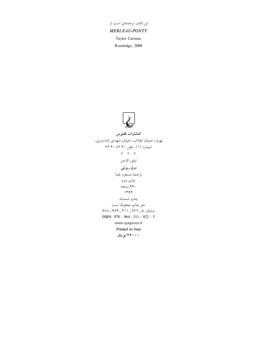# این کتاب ترجمهای است از:

#### **MERLEAU-PONTY**

Taylor Carman

Routledge, 2008



## انتشارات ققنوس تهران، خيابان انقلاب، خيابان شهداي ژاندارمري، شمارهٔ ۱۱۱، تلفن ۴۰ ۸۶ ۴۰ ۶۶ \* \* \* تيلور كارمن مرلو۔پونتی ترجمة مسعود عليا چاپ دوم ۹۹۰ نسخه  $1498$ چاپ شمشاد حق چاپ محفوظ است شایک: ۵ ـ ۹۲۲ ـ ۳۱۱ ـ ۹۶۴ ـ ۹۷۸ ISBN: 978 - 964 - 311 - 922 - 5 www.qoqnoos.ir Printed in Iran ۲۲۰۰۰ تومان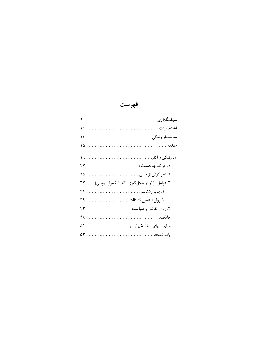فهرست

| ۳. عوامل مؤثر در شکلگیری [اندیشهٔ مرلو ـ پونتی] ۳۲ |
|----------------------------------------------------|
|                                                    |
|                                                    |
|                                                    |
|                                                    |
| منابعی برای مطالعهٔ بیش تر  ۵۱                     |
|                                                    |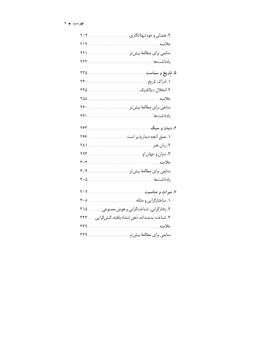| ٢۶.                                               |       |
|---------------------------------------------------|-------|
|                                                   |       |
|                                                   |       |
|                                                   |       |
|                                                   |       |
|                                                   |       |
|                                                   |       |
| مناب <i>عی</i> برا <i>ی</i> مطالعهٔ بیش تر ۳۰۴    |       |
|                                                   |       |
|                                                   |       |
|                                                   |       |
| ۲. رفتارگرایی، شناختگرایی و هوش مصنوعی ۳۱۵        |       |
| ۳. شناخت بدنمندانه، ذهن امتدادیافته، کنشگرایی ۳۲۳ |       |
| ۳۲۹                                               | خلاصه |
| منابعی برای مطالعهٔ بیش تر ۳۲۹                    |       |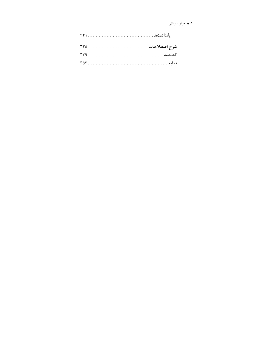#### ۸ + مرلو۔پونتی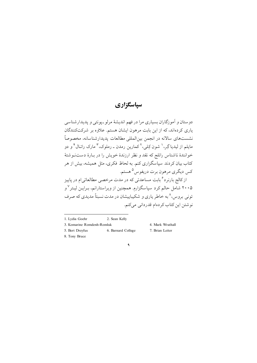## سياسگزاري

دوستان و آموزگاران بسیاری مرا در فهم اندیشهٔ مرلو ـیونتی و پدیدارشناسی یاری کردهاند، که از این بابت مرهون ایشان هستم. علاوه بر شرکتکنندگان نشستهای سالانه در انجمن بین|لمللی مطالعات پدید|رشناسانه، مخصوصاً مایلم از لیدیا گر،<sup>۱</sup> شون کلی،<sup>۲</sup> کمارین رمدن ـ رملوک،۳ مارک راتـال۴ و دو خوانندهٔ ناشناس راتلج که نقد و نظر ارزندهٔ خویش را در بیارهٔ دستنبوشتهٔ کتاب بیان کر دند سیاسگزاری کنم. به لحاظ فکری، مثل همیشه، بیش از هر کس دیگری مرهون برت دریفوس <sup>۵</sup> هستم. از کالج بارنر د<sup>ع</sup> بابت مساعدتی که در مدت مرخصی مطالعاتی|م در پاییز

۲۰۰۵ شامل حالم کرد سیاسگزارم. همچنین از ویراستارانم، بـرایـن لیـتر<sup>۷</sup>و تونی پروس،^په خاطر پارې و شکیباییشان در مدت نسبتاً مدیدې که صرف نو شتن این کتاب کردهام قدردانی میکنم.

- 1. Lydia Goehr 2. Sean Kelly
- 3. Komarine Romdenh-Romluk
- 4 Mark Wrathall
- 5. Bert Dreyfus 6. Barnard College 7. Brian Leiter
- 8. Tony Bruce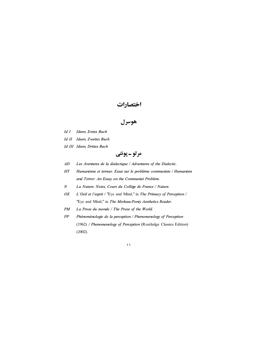## اختصارات

هوسرل

- Id I Ideen, Erstes Buch
- Id II Ideen, Zweites Buch
- Id III Ideen, Drittes Buch

»T‾±Q Ç ±§o«

- AD Les Aventures de la dialectique / Adventures of the Dialectic.
- HT Humanisme et terreur. Essai sur le problème communiste / Humanism and Terror: An Essay on the Communist Problem.
- N La Nature: Notes, Cours du Collège de France / Nature.
- OE L'Oeil et l'esprit / "Eye and Mind," in The Primacy of Perception / "Eye and Mind," in The Merleau-Ponty Aesthetics Reader.
- PM La Prose du monde / The Prose of the World.
- PP Phénoménologie de la perception / Phenomenology of Perception (1962) / Phenomenology of Perception (Routledge Classics Edition) (2002).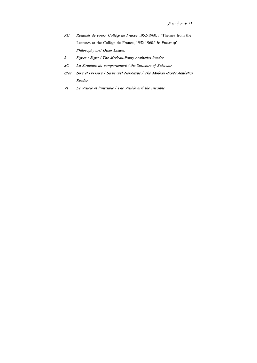- $RC$ Résumés de cours, Collège de France 1952-1960. / "Themes from the Lectures at the Collège de France, 1952-1960." In Praise of Philosophy and Other Essays.
- Signes / Signs / The Merleau-Ponty Aesthetics Reader.  $\boldsymbol{S}$
- La Structure du comportement / the Structure of Behavior.  $SC$
- **SNS** Sens et nonsens / Sense and Non-Sense / The Merleau -Ponty Aesthetics Reader.
- И Le Visible et l'invisible / The Visible and the Invisible.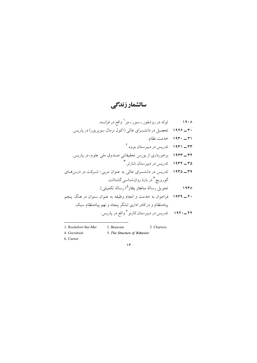## سالشمار زندگے ِ

- تولد در روشفور ـ سور ـ مِر <sup>۱</sup> واقع در فرانسه.  $19.1$ ۳۰ ــ ۱۹۲۶ - تحصیل در دانشسرای عالی (اکول نرمال سویریور) در پاریس. ٣١ - ١٩٣٠ خدمت نظام. ۳۳ ـ ۱۹۳۱ - تاریس در دیبرستان بووه. ۲ ۳۴\_ ۱۹۳۳ برخورداری از بورس تحقیقاتی صندوق ملی علوم، در پاریس. ۳۵ ـــ ۱۹۳۴ - تدریس در دیبرستان شارتی ۳ ۳۹ ــ ۱۹۳۵ - تدریس در دانشسرای عالی به عنوان مربی؛ شـرکت در درسهـای گوروپچ <sup>۲</sup> در بارهٔ روانشناسی گشتالت. تحويل رسالة ساختار رفتار<sup>0</sup>(رسالة تكميلي).  $197A$ ۴۰ ــ ۱۹۳۹ فراخوان به خدمت و انجام وظیفه به عنوان ستوان در هنگ پنجم پیادهنظام و در کادر اداری لشگر پنجاه و نهم پیادهنظام سبک. ۴۴ ــ ۱۹۴۰ تدریس در دبیر ستان کارنو <sup>۶</sup> واقع در پاریس.
- 1. Rochefort-Sur-Mer
- 2. Beauvais
- 3. Chartres
- 4. Gurwitsch 5. The Structure of Behavior
- 6. Carnot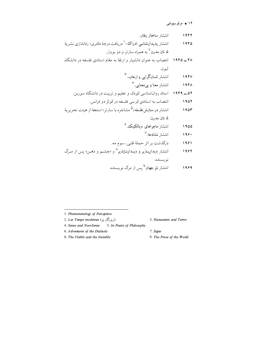#### ۱۴ + مرلو۔یونتی

- انتشار ساختار رفتار.  $1957$
- انتشار یدىدارشناسی ادراك<sup>ی ، ۱</sup> دریافت درجهٔ دكتری؛ راهاندازی نشریهٔ  $1980$ له تان مدرن<sup>۲</sup> به همراه سارتر و دو بووار.
- ۴۸ ـــ ۱۹۴۵ انتصاب به عنوان دانشیار و ارتقا به مقام استادی فلسفه در دانشگاه ليو ن.
	- انتشار انسانگرامی و ارعاب ۳  $195V$ 
		- انتشار معنا و بیمعنایی .<sup>۴</sup> **1944**
	- ۵۲ ــ ۱۹۴۹ ماستاد روانشناسی کودک و تعلیم و تربیت در دانشگاه سوربن.
		- انتصاب به استادي كرسي فلسفه دركولژ دو فرانس. 1907
- انتشار **در ستایش فلسفه؛<sup>۵</sup> م**شاجره با سارتر؛ استعفا از هیئت تحریر یهٔ  $190r$ له تان مدرن.
	- انتشار ماجراهای دیالکتیک.<sup>۶</sup> 1900
		- انتشار نشانه ها.<sup>۷</sup>  $199.$
	- درگذشت پر اثر حملهٔ قلبی، سوم مه.  $1991$
- انتشار دیدارپــذیر و دیــدارنــاپذیر<sup>^</sup> و «چشــم و ذهــن» پس از مــرگ 1984 نو يستده.
	- انتشار نثر جهان<sup>۹</sup> پس از مرگ نو پسنده. 1989

- 1. Phenomenology of Perception
- 2. Les Temps modernes ( $\epsilon$ , ذكارنو)
- 3. Humanism and Terror
- 4. Sense and Non-Sense 5. In Praise of Philosophy
- 6. Adventures of the Dialectic
- 8. The Visible and the Invisible
- 7. Signs
- 9. The Prose of the World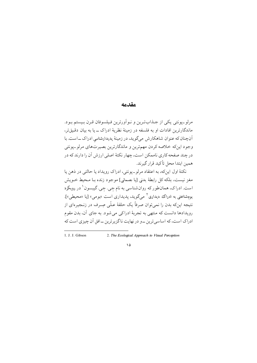#### مقدمه

مرلو -پونتي يکي از جـذابتـرين و نـو آورترين فـيلسوفان قـرن بـيستم بـود. ماندگارترین افادات او به فلسفه در زمینهٔ نظریهٔ ادراک ــ با به بیان دقیق،تر، آن چنان که عنوان شاهکارش میگوید، در زمینهٔ پدیدارشناسی ادراک ــ است. با وجود اینکه خلاصه کردن مهمترین و ماندگارترین بصیرتهای مرلو-یونتی در چند صفحه کاری ناممکن است، چهار نکتهٔ اصلی ارزش آن را دارند که در همین ابتدا محل تأکید قرار گیرند.

نکتهٔ اول اینکه، به اعتقاد مرلو ـ یونتی، ادراک رویداد یا حالتی در ذهن یا مغز نيست، بلكه كل رابطهٔ بدني [يا جسماني] موجود زنده بـا مـحيط خـويش است. ادراک، همانطور که روان شناسی به نام جی. جی. گیبسون ۱ در رویکرد بومشناختی به ادراک دیداری<sup>۲</sup> مے گوید، پدیداری است «بومی» [با «محیطی»]. نتيجه اينکه بدن را نمي توان صرفاً يک حلقهٔ عـلَّمي صِـرف در زنــجيرهاي از رویدادها دانست که منتهی به تجربهٔ ادراکی می شود. به جای آن، بدن مقوم ادراک است، که اساسی ترین ــو در نهایت ناگزیر ترین ــافق آن چیزی است که

<sup>1.</sup> J. J. Gibson

<sup>2.</sup> The Ecological Approach to Visual Perception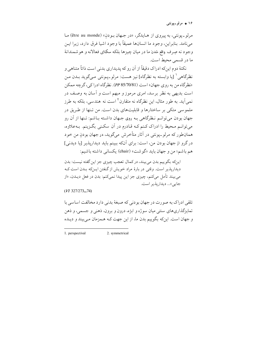۱۶ + مرلو۔یونتی

مرلو -يونتي، به پيروي از هـايدگر، «در جـهان بـو دن» (être au monde) مـا مي نامد. بنابراين، وجو د ما انسانها عميقاً با وجو د اشيا فرق دارد، زيرا ايـن وجود نه صِرف واقع شدن ما در میان چیزها بلکه سکنای فعالانه و هوشمندانهٔ ما در قسمی محیط است.

نکتهٔ دوم اینکه ادراک دقیقاً از آن رو که پدیداری بدنی است ذاتاً متناهی و نظرگاهي ` [يا وابسته به نظرگاه] نيز هست: مرلو\_يـونتي مـيگويد بـدن مـن «نظرگاه من به روي جهان» است (85/70/81). نظرگاه ادرا کي، گرچه ممکن است بدیهی به نظر برسد، امری مرموز و مبهم است و آسان به وصف در نمی آید. به طور مثال، این نظرگاه نه متقارن<sup>۲</sup> است نه هندسی، بلکه به طرز ملموسی متکی بر ساختارها و قابلیتهای بدن است. من تـنها از طـریق در جهان بودن میتوانـم نـظرگاهی بـه روی جـهان داشـته بـاشم: تـنها از آن رو می توانـم مـحیط را ادراک کـنم کـه قـادرم در اَن سکـنی بگـزینم. بـهعلاوه، همانطور که مرلو۔پونتی در اَثار متأخرش میگوید، در جهان بودن من خود در گرو از جهان بودن من، است: برای آنکه ببینم باید دیداریذیر [یا دیدنی] هم باشم؛ من و جهان بايد «گوشت» (chair) يكساني داشته باشيم:

اينكه بگوييم بدن مي بيند، در كمال تعجب چيزي جز اين گفته نيست: بدن ديداريذير است. وقتى در بارهٔ مراد خويش از گىفتن ايـنِکه بـدن است کـه میبیند تأمل میکنم، چیزی جز این پیدا نمیکنم: بدن در فعل دیـدن، «از جايي»... ديداريذير است.

 $(VI 327/273 - 74)$ 

تلقی ادراک به صورت در جهان بودنی که صبغهٔ بدنی دارد مخالفت اساسی با تمایزگذاریهای سنتی میان سوژه و ابژه، درون و برون، ذهنی و جسمی، و ذهن و جهان است. اینکه بگوییم بدن ما، از این جهت کـه هـمزمان مـیبیند و دیـده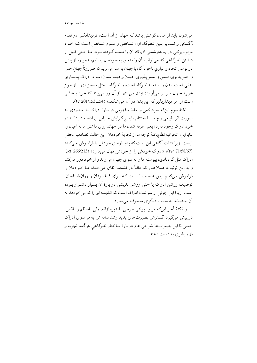می شود، باید از همان گو شتی باشد که جهان از آن است، تردیدافکنی در تقدم آگ@هی و تـمایز بـین نـظرگاه اول شـخص و سـوم شـخص است کـه خـود مرلو۔یونتی در پدیدارشناسی ادراک آن را مسلم گـرفته بـود. مـا حـتـی قـبل از داشتن نظرگاهی که می توانیم آن را متعلق به خودمان بدانیم، همواره از پیش در نوعی اتحاد و انبازی ناخوداًگاه با جهان به سر میبریم که ضرورتاً جهان حس و حس پذیری، لمس و لمس پذیری، دیدن و دیده شدن است. ادراک پدیداری بدنی است، بدن وابسته به نظرگاه است، و نظرگاه ــ مثل معجز های ــ از خو دِ خمیرۂ جهان سر بر می]ورد: «بدن من تنها از اَن رو می بیند که خود بـخشی است از امر دیداریذیر که این بدن در آن می شکفد» (54\_201/153 W).

نکتهٔ سوم اینکه سردرگمی و خلط مفهومی در بیارهٔ ادراک تبا حیدودی بیه صورت اثر طبیعی و چه بسا اجتنابناپذیر گـرایش حـیاتییای ادامـه دارد کـه در خود ادراک وجود دارد؛ يعني غرقه شدن ما در جهان، روي داشتن ما به اعيان و، بنابراين، انحرافٍ نظاميافتهٔ توجه ما از تجربهٔ خودمان. اين حالت تصادفِ محض نیست، زیرا «ذات اًگاهی این است که پدیدارهای خودش را فراموش می کند» (PP 71/58/67)؛ «ادراک خودش را از خودش نهان می دارد» (213/66/213). ادراک مثل گر دبادی، پیوسته ما را به سوی جهان می راند و از خود دور می کند و به این ترتیب، همانطور که غالباً در فلسفه اتفاق می|فـتد، مـا خـودمان را فراموش می کنیم. پس عـجیب نـیست کـه بـرای فـیلسوفان و روان شـناسان، توصيف روشن ادراک يا حتى روشن|نديشي در بارهٔ اَن بسيار دشـوار بـوده است، زیرا این جزئی از سر شت ادراک است که اندیشهای را که می خواهد به اّن بیندیشد به سمت دیگری منحرف می سازد.

و نكتهٔ أخر اينٍكه مرلوٍّـ يونتي طرحي بلندپروازانه، ولي نامنظم و ناقص، در پیش میگیرد: گسترش بصیرتهای پدیدارشناسانهاش به فراسوی ادراک حسی تا این بصیرتها شرحی عام در بارهٔ ساختار نظرگاهی هر گونه تجربه و فهم بشري به دست دهند.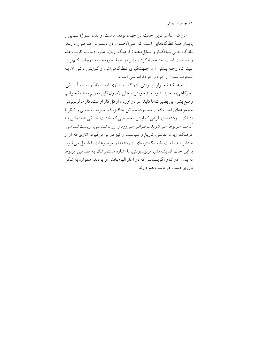۱۸ + مرلو۔یونتی

ادراک اساسی ترین حالت در جهان بو دن ماست، و بدن سـو ژهٔ نـهایی و پایدار همهٔ نظرگاههایی است که علی الاصول در دسترس ما قرار دارنـد. نظرگاه بدنی بنیادگذار و شکل دهندهٔ فرهنگ، زبان، هنر، ادبیات، تاریخ، علم و سیاست است. مشخصهٔ کردار بشر در همهٔ حوزهها، به درجات کـمتر پـا بیش تر، وجـه بـدني آن، جـهتگيري نـظرگاهي اش، و گـرايش ذاتـي آن بـه منحرف شدن از خو د و خو دفرامو شي است.

بسه عسقيدهٔ مسرلو ـ پسونتي، ادراک پيديداري است ذاتاً و اسياساً بيدني، نظرگاهي، منحرف شونده از خويش و علىالاصول قابل تعميم به همهٔ جوانب وضع بشر. این بصیرتهاکلید سر در آوردن از کل کار اوست. کار مرلو ـیونتی مجموعهای است که از محدودهٔ مسائل متافیزیک، معرفتشناسی و نـظریهٔ ادراک ـــ رشتههای فرعی کمابیش تخصصی که افادات فلسفی عمدهاش بـه أنهــا مـربوط مـى شوند ــ فـراتـر مـىرود و روان شـناسى، زيست شـناسى، فرهنگ، زبان، نقاشی، تاریخ و سیاست را نیز در بر میگیرد. آثاری که از او منتشر شده است طیف گستر دهای از رشتهها و موضوعات را شامل می شود؛ با این حال، اندیشههای مرلو\_پونتی، با اشارهٔ مستمرشان به مضامین مربوط به بدن، ادراک و اگزیستانس که در آغاز الهامبخش او بودند، همواره به شکل بارزی دست در دست هم دارند.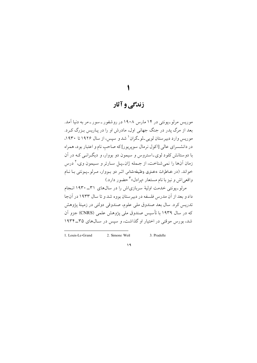## زندگی و آثار

موریس مرلوـیونتی در ۱۴ مارس ۱۹۰۸ در روشفور ـ سور ـ مه به دنیا آمد. بعد از مرگ پدر در جنگ جهانی اول، مادرش او را در پاریس بیزرگ کیرد. موریس وارد دبیر ستان لویی ـلو ـگران ` شد و سیس، از سال ۱۹۲۶ تا ۱۹۳۰، در دانشسرای عالی [اکول نرمال سوپریور] که صاحب نام و اعتبار بود، همراه با دوستانش کلود لوی۔استروس و سیمون دو بووار، و دیگہ انبی کـه در آن زمان آنها را نمی شناخت، از جـمله ژان\_پـل سـارتر و سـيمون وي، ` درس خواند. (در خـاطرات دخـتری وظـیفهشناس اثـر دو بـووار، مـرلو ـ پـونتی بـا نــام واقعی اش و نیز با نام مستعار «پرادل» ۳ حضو ر دارد.)

مرلو\_یونتی خدمت اولیهٔ سربازیاش را در سالهای ۳۱\_۱۹۳۰ انجام داد و بعد از آن مدرس فلسفه در دبیر ستان بووه شد و تا سال ۱۹۳۳ در آنجا تدريس كرد. سال بعد صندوق ملي علوم، صندوقي دولتي در زمينهٔ پژوهش که در سال ۱۹۳۹ با تأسیس صندوق ملی پژوهش علمی (CNRS) جزو آن شد، بورس موقتی در اختیار او گذاشت، و سپس در سال های ۳۵\_۱۹۳۴

<sup>1.</sup> Louis-Le-Grand 2. Simone Weil

<sup>3.</sup> Pradelle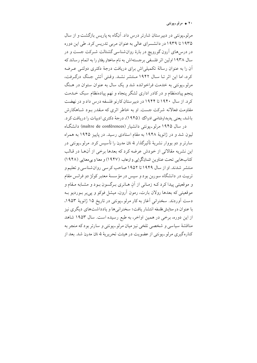۲۰ ♦ مرلو-پونتي

مرلوبیونتی در دبیر ستان شارتر درس داد. آنگاه به پاریس بازگشت و از سال ۱۹۳۵ تا ۱۹۳۹ در دانشسرای عالی به عنوان مربی تدریس کرد. طی این دوره در درسهای آرون گورویچ در بارهٔ روانشناسی گشتالت شـرکت جست و در سال ۱۹۳۸ اولین اثر فلسفی برجستهاش به نام ساختار رفتار را به اتمام رساند که آن را به عنوان رسالهٔ تکمیلی اش برای دریافت درجهٔ دکتری دولتـی عـرضه كرد، اما اين اثر تـا سـال ١٩۴٢ مـنتشر نشـد. وقتى اّتش جـنگ درگـرفت، مرلو ـ يونتي به خدمت فراخوانده شد و يک سال به عنوان ستوان در هـنگ پنجم پیادهنظام و در کادر اداری لشگر پنجاه و نهم پیادهنظام سبک خـلـهت کرد. از سال ۱۹۴۰ تا ۱۹۴۴ در دبیر ستان کارنو فلسفه درس داد و در نهضت مقاومت فعالانه شرکت جست. او به خاطر اثری که مـقدر بـود شـاهکارش باشد، یعنی پدیدارشناسی ادراک (۱۹۴۵)، درجهٔ دکتری ادبیات را دریافت کر د.

در سال ۱۹۴۵ مرلو ـیونتی دانشیار (maître de conférences) دانشگـاه لیون شد و در ژانویهٔ ۱۹۴۸ به مقام استادی رسید. در پاییز ۱۹۴۵ به همراه سارتر و دو بووار نشریهٔ تأثیرِگذار له تان مدرن را تأسیس کرد. مرلو\_پونتی در این نشریه مقالاتی از خودش عرضه کرد که بعدها برخی از آنها در قـالب كتابِهايي تحت عناوين انسانگرايي وارعاب (١٩۴٧) و معنا و بي معنايي (١٩۴٨) منتشر شدند. او از سال ۱۹۴۹ تا ۱۹۵۲ صاحب کرسی روان شناسی و تعلیم و تربيت در دانشگاه سورين بود و سپس در مؤسسهٔ معتبر کولژ دو فرانس مقام و موقعیتی پیداکرد کـه زمـانی از آن هـانری بـرگسون بـود و مشـابه مـقام و موقعیتی که بعدها رولان بارت، رمون آرون، میشل فوکو و پی پر بـوردیو بـه دست آوردند. سخنرانی آغاز به کار مرلو ـپونتی در تاریخ ۱۵ ژانویهٔ ۱۹۵۳، با عنوان در ستایش فلسفه انتشار یافت؛ سخنرانی ها و یادداشتهای دیگری نیز از این دوره، برخی در همین اواخر، به طبع رسیده است. سال ۱۹۵۳ شاهد مناقشهٔ سیاسی و شخصی تلخی نیز میان مرلو ـپونتی و سارتر بود که منجر به کنارهگیری مرلو\_پونتی از عضویت در هیئت تحریریهٔ له تان مدرن شد. بعد از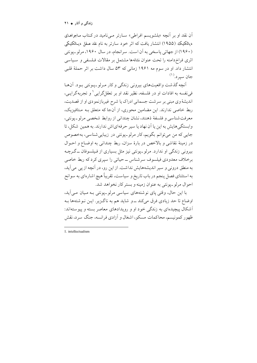اّن نقد او بر آنچه «بلشویسم افراطی» سـارتر مـیiامید در کـتاب مـاجراهـای ديالكتيك (١٩۵۵) انتشار يافت كه اثر خود سارتر به نام نقد عـقل ديـالكتيكي (۱۹۶۰) از جهاتی پاسخی به آن است. سرانجام، در سال ۱۹۶۰، مرلو-پونتی اثری فراخ دامنه را تحت عنوان نشانهها مشتمل بر مقالات فبلسفی و سیاسی انتشار داد. او در سوم مه ۱۹۶۱ زمانی که ۵۳ سال داشت بر اثر حملهٔ قلبی جان سبر د.<sup>(۱)</sup>

آنچه گذشت واقعیتهای بیرونی زندگی و کار مرلو ـیـونتی بـود. آنهـا في نفسه به افادات او در فلسفه، نظير نقد او بر تعقل گرايي ` و تجربه گرايـي، اندیشهٔ وی مبنی بر سر شت جسمانی ادراک یا شرح غیربازنمودی او از قصدیت، ربط خاصی ندارند. این مضامین محوری، از آنجا که متعلق بـه مـتافیزیک، معرفت شناسي و فلسفهٔ ذهنند، نشان چنداني از روابط شخصي مرلو ـ يونتي، وابستگی هایش به این یا آن نهاد یا سیر حرفهای اش ندارند. به همین شکل، تا جايي كه من مي توانم بگويم، كار مرلو-پونتي در زيبايي شناسي، بهخصوص در زمينهٔ نقاشي و بالاخص در بارهٔ سزان، ربط چنداني به اوضـاع و احـوال بیرونی زندگی او ندارد. مرلو-پونتی نیز مثل بسیاری از فیلسوفان ــ گـرچـه برخلاف معدودي فيلسوف سرشناس ــ حياتي را سيري كرد كه ربط خاصي به منطق درونی و سیر اندیشههایش نداشت. از این رو، در آنچه از پی می آید، به استثناي فصل پنجم در باب تاريخ و سياست، تقريباً هيچ اشارهاي به سوانح احوال مرلو ـيونتي به عنوان زمينه و بستر كار نخواهد شد.

با این حال، وقتی پای نوشتههای سیاسی مرلو۔پونتی بـه مـیان مـی[ید، اوضاع تا حد زیادی فرق میکند ــو شاید هم به ناگزیر. ایـن نـوشتهها بـه اَشکال پیچیدهای به زندگی خود او و رویدادهای معاصر بسته و پیوستهاند: ظهور کمونیسم، محاکمات مسکو، اشغال و آزادی فرانسه، جنگ سرد، نقش

<sup>1.</sup> intellectualism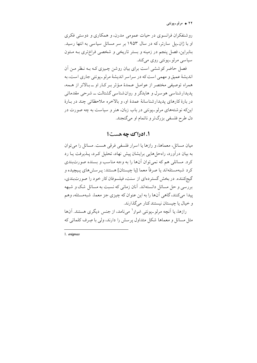۲۲ ♦ مرلو۔پونتی

روشنفکران فرانسوی در حیات عمومی مدرن، و همکاری و دوستی فکری او با ژان۔پل سارتر، که در سال ۱۹۵۳ بر سر مسائل سیاسی به انتها رسید. بنابراین، فصل پنجم در زمینه و بستر تاریخی و شخصی فراختری بـه مـتون سياسي مرلو-يونتي روي ميڭند.

فصل حاضر کوششی است برای بیان روشن چـیزی کـه بـه نـظر مـن آن انديشهٔ عميق و مهمي است كه در سراسر انديشهٔ مرلو\_يونتي جاري است، به همراه توصيفي مختصر از عوامـل عـمدهٔ مـؤثر بـر كـار او ــ بـالاتر از هـمه، پدیدارشناسی هوسرل و هایدگر و روان شناسی گشتالت ــ شرحی مقدماتی در بارهٔ کارهای پدیدارشناسانهٔ عمدهٔ او، و بالاخره ملاحظاتی چند در بیارهٔ اینکه نوشتههای مرلو-پونتی در باب زبان، هنر و سیاست به چه صورت در دل طرح فلسفی بزرگتر و ناتمام او میگنجند.

### 1. ادراك چه هست؟

میان مسائل، معماها، و رازها یا اسرار فلسفی فرقی هست. مسائل را میٍتوان به بیان درآورد، راهحلهایی برایشان پیش نهاد، تحلیل کـرد، پـذیرفت پـا رد کرد. مسائلی هم که نمی توان آنها را به وجه مناسب و بسنده صورتبندی کر د شبهمسئلهاند يا صرفاً معما [يا چيستان] هستند: پـرسش۵لي پـيچيده و گیجکننده. در بخش گستر دهای از سنت، فیلسوفان کار خود را صورتبندی، بررسی و حل مسائل دانستهاند. آنان زمانی که نسبت به مسائل شک و شبهه پيدا مي کنند، گاهي اَنها را به اين عنوان که چيزي جز معما، شبهمسئله، وهم و خيال يا چيستان نيستند كنار مي گذارند.

رازها، یا اَنچه مرلو ـیونتی اسرار' می نامد، از جنس دیگری هستند. اَنها مثل مسائل و معماها شکل متداول پر سش را دارند، ولی با صِرف کلماتی که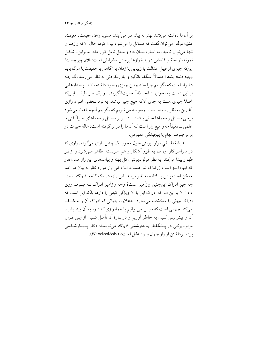بر آنها دلالت مي كنند بهتر به بيان در مي آيند: هستي، زمان، حقيقت، معرفت، عشق، مرگ . می توان گفت که مسائل را می شود بیان کرد، حال آنکه رازهـا را تنها می توان نامید، به اشاره نشان داد و محل تأمل قرار داد. بنابراین، شکـل نمونهوار تحقيق فلسفى دربارهٔ رازها پرسش سقراطي است: فلان چيز چيست؟ اینکه چیزی از قبیل عدالت یا زیبایی یا زمان یا آگاهی یا حقیقت یا مرگ باید وجود داشته باشد احتمالاً شگفتانگیز و باورنکردنی به نظر می رسد،گرچـه دشوار است که بگو پیم چرا نباید چنین چیزی وجود داشته باشد. پدیدارهایی از این دست به نحوی از انحا ذاتاً حیرتانگیزند. در یک سر طیف، ایـنکه اصلاً چیزی هست به جای آنکه هیچ چیز نباشد، به نزد بـعضبی افـراد رازی أغازين به نظر رسيده است. وسوسه مي شويم كه بگوييم أنچه باعث مي شود برخي مسائل و معماها فلسفي باشند ــدر برابر مسائل و معماهاي صرفاً فني يا علمي ــ دقيقاً مه و ميغ راز است كه أنها را در بر گرفته است: هالهٔ حيرت در برابر صِرف ابهام يا پيچيدگي مفهومي.

اندیشهٔ فلسفی مرلو۔یونتی حول محور یک چنین رازی میگردد، رازی که در سراسر کار او، هم به طور آشکار و هم سربسته، ظاهر مـی شود و از نـو ظهور پيدا مي كند. به نظر مرلو ـ يونتي، كل يهنه و پيامدهاي اين راز همانقدر که ابهامآمیز است ژرفناک نیز هست. اما وقتی راز مورد نظر به بیان در آمد ممکن است پیش پا افتاده به نظر بر سد. این راز، در یک کلمه، ادراک است. چه چیز ادراک اینچنین رازآمیز است؟ وجه رازآمیز ادراک نـه صِـرف روی دادن آن یا این امر که ادراک این یا آن ویژگی کیفی را دارد، بلکه این است که ادراک جهانی را منکشف می سازد. بهعلاوه، جهانی که ادراک آن را منکشف می کند جهانی است که سپس می توانیم با همهٔ رازی که دارد به آن بیندیشیم، آن را پیش بینی کنیم، به خاطر آوریم و در بـارهٔ آن تأمـل کـنیم. از ایـن قـرار، مرلو۔یونتی در پیشگفتار پدیدارشناسی ادراک می نویسد: «کار پدیدارشناسی پرده برداشتن از راز جهان و راز عقل است» (PP xvi/xxiv).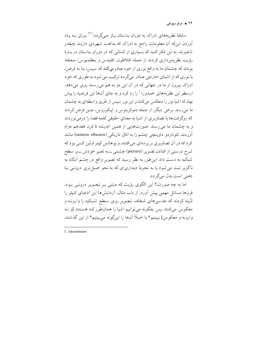۲۴ ♦ مرلو۔پونتی

سابقهٔ نظریههای ادراک به دوران بـاستان بـاز مــ گردد.<sup>(۲)</sup> بـرای بـه بـاد آوردن اینکه اَن معلوماتِ راجع به ادراک که بداهت شهودی دارنـد چـقدر ناچیزند، به این فکر کنید که بسیاری از کسانی که در دوران بـاستان در بـارهٔ رؤيت نظريهيردازي كردند از جمله افلاطون، اقليدس و بـطلميوس، مـعتقد بودند که چشمان ما به واقع نوری از خود صادر میکنند که سپس، بنا به فرض، با نوري كه از اشياي خارجي صادر مي گر دد تركيب مي شود به طوري كه خود ادراک بیرون از ما در جهانی که در آن این دو به هم میرسند روی میدهد. ارسطو این نظریههای «صدور» <sup>۱</sup> را رد کرد و به جای آنها این فرضیه را پیش نهاد که اشیا نور را منعکس میکنند و این نور سپس از طریق واسطهای به چشمان ما میں رسد. برخی دیگر، از جمله دموکریتوس و اییکوروس، چنین فرض کردند که روگرفتها یا تصاویری از اشیا به معنای حقیقی کلمه فضا را درمی نوردند و به چشمان ما می رسند. صورتهایی از همین اندیشه تا قرن هفدهم دوام آوردند. لئوناردو داوينچي چشم را به اتاق تاريکي (camera obscura) مانند کر د که در آن تصاویری بر پر دهای می افتند، و پوهانس کیلر اولین کسی بود که شرح درستي از افتادن تصوير (pictura) چشمې ـــ به تعبير خودش ـــ بر سطح شبکیه به دست داد. این طور به نظر رسید که تصویر واقع در چشم آنگاه به ناگزیر ثبت می شود یا به تجربهٔ دیداریای که به نحو اصیلتری درونبی یـا ذهني است بدل مي گر دد.

اما به چه صورت؟ این الگوی رؤیت که مبتنی بـر تـصویر درونـی بـود، قرنها مسائل مهمی پیش آورد. از باب مثال، آزمایشها این ادعـای کـپلر را تأیید کردند که عدسیهای شـفاف تـصویر روی سـطح شـبکیه را وارونـه و معکوس میکنند. پس چگونه می توانیم اشیا را همان طور کـه هسـتند [و نـه وارونه و معکوس] ببینیم؟ یا اصلاً آنها را اینگونه میبینیم؟ از این گذشته،

<sup>1</sup> extramission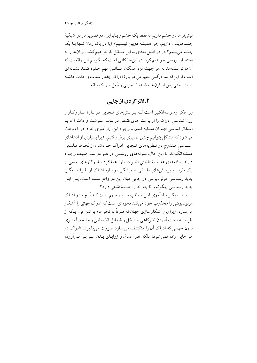زندگی و آثار ♦ ٢٥

بيش تر ما دو چشم داريم نه فقط يک چشم و بنابراين، دو تصوير در دو شبکيهٔ چشمهایمان داریم. چرا همیشه دوبین نیستیم؟ آیا در یک زمان تـنها بـا یک چشم می بینیم؟ در دو فصل بعدی به این مسائل بازخواهیم گشت و آنها را به اختصار بررسی خواهیم کرد. در این جا کافی است که بگوییم این واقعیت که آنها توانستهاند به هر جهت نزد همگان مسائلی مهم جلوه کـنند نشـانهای است از اینکه سردرگمی مفهومی در بارهٔ ادراک چقدر شدت و حدّت داشته است، حتبي پس از قرنها مشاهدهٔ تجربي و تأمل باريکبينانه.

## ٢. نظر کردن از جایی

این فکر وسوسهانگیز است کـه پـرسشهای تـجربی در بـارهٔ سـازوکـار و روان شناسی ادراک را از پرسشهای فلسفی در بـاب سـرشت و ذات آن، یـا أشكال اساسي فهم أن متمايز كنيم. با وجود اين، رازاًميزي خود ادراك باعث می شود که مشکل بتوانیم چنین تمایزی برقرار کنیم، زیرا بسیاری از ادعاهای اسـاسی مـندرج در نـظریههای تـجربی ادراک خـودشان از لحـاظ فـلسفی مسئلهانگیزند. با این حال، نمونههای روشنبی در هـر دو سـر طـیف وجـود دارند: یافتههای عصب شناختی اخیر در بارهٔ عملکرد سازوکارهای حسی از یک طرف و پر سش های فلسفی هـمیشگی در بـارهٔ ادراک از طـرف دیگـر. پدیدارشناسی مرلو۔پونتی در جایی میان این دو واقع شـده است. پس ایـن يديدارشناسي چگونه و تا چه اندازه صبغهٔ فلسفي دارد؟

بسار دیگـر پـادآوری ایـن مـطلب بسـیار مـهم است کـه آنـچه در ادراک مرلو۔یونتی را مجذوب خود میکند نحوهای است که ادراک جهانی را آشکار می سازد. زیرا این آشکارسازی جهان نه صرفاً به نحو عام یا انتزاعی، بلکه از طریق به دست اَوردن نظرگاهی با شکل و شمایل انضمامی و مشخصاً بشری درون جهانی که ادراک اّن را منکشف می سازد صورت میپذیرد. «ادراک در هر جایی زاده نمی شود» بلکه «در اعماق و زواییای بیدن سبر ببر می آورد»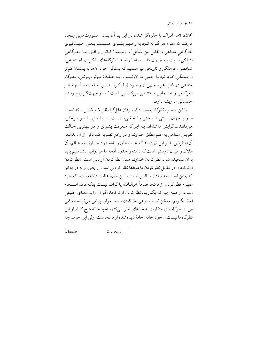۲۶ + مرلو<sub>-پونتی</sub>

(7 ٪). ادراک با جلوهگر شدن در این پـا آن بـدن، صـورتهایی ایـجاد میکند که مقوم هر گـونه تـجربه و فـهم بشـری هسـتند، يـعنی جـهتگيري نظرگاهی متناهی و تقابل بین شکل <sup>۱</sup> و زمـینه،<sup>۲</sup>کـانون و افـق. مـا نـظرگاهی ß ß ادراکی نسبت بـه جـهان داریـم، امـا واجـد نـظرگاههای فکـری، اجـتماعی، شخصی، فرهنگی و تاریخی نیز هستیم که بستگی خود آنها به بدنمان کمتر از بستگی خود تجربهٔ حسی به آن نیست. بـه عـقیدهٔ مـرلو\_پـونتی، نـظرگاه متناهی در ذات هر وجهی از وجود [یـا اگـزیستانس] مـاست و آنـچه هـر نظرگاهی را انضمامی و متناهی میکند این است که در جهتگیری و رفتار جسمانی ما ریشه دارد.

با این حساب نظرگاه چیست؟ فیلسوفان عقلگرا نظیر لایبنیتس ــکه نسبت ما را با جهان نسبتی شـناختی یـا عـقلی، نسبت انـدیشهای بـا مـوضوعش، میدانند ـ گرایش داشتهاند بـه ایـنکه مـعرفت بشـری را در بـهترین حـالت تقریبی متناهی به علم مطلق خداوند و در واقع تصویر کمرنگی از آن بدانند. آنها فرض را بر این نهادهاند که علم مطلق و نامحدود خداوند به عـالـم، آن ملاک و میزان درستی است که دامنه و حدود آنچه ما می توانیم بشناسیم باید با أن سنجيده شود. نظر كردن خداوند همان نظر كردن أرماني است: «نظر كردن از ناکجا». در مقابل نظر کردن ما محققاً نظر کردنی است از جایی، و به درجهای كه چنین است خدشهدار و ناقص است. با این حال، عنایت داشته باشید که خود مفهوم نظر كردن از ناكجا صرفاً خيالبافته ياگزاف نيست بلكه فاقد انسـجام است. از همه چیز که بگذریم، نظر کردن از ناکجا، اگر آن را به معنای حقیقی لفظ بگيريم، ممكن نيست نوعي نظر كردن باشد. مرلو ـپونتي ميiويسد وقتي من از نظرگاههای متفاوت به خانهای نظر میکنم، «خود خانه هیچ کدام از این نظرگاهها نیست... خود خانه، خانهٔ دیدهشده از ناکجاست. ولی این حرف چه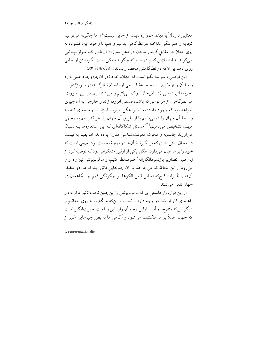زندگی و آثار ♦ ٢٧

معنایی دارد؟ آیا دیدن همواره دیدن از جایبی نیست؟» اما چگونه می توانیم تجربه را هم لنگر انداخته در نظرگاهی بدانیم و هم، با وجود این،گشوده به روی جهان در مقابل گرفتار ماندن در ذهن سوژه؟ آن طور کـه مـرلو-پـونتمی میگوید، «باید تلاش کنیم دریابیم که چگونه ممکن است نگریستن از جایی روي دهد بي آنكه در نظرگاهش محصور بماند» (7/67/78).

این فرضی و سو سهانگیز است که جهان، خو د (در آنجا) وجو د عینی دارد و مـا أن را از طريق يـا بـه وسـيلة قسـمى از اقسـام نـظرگاههاى سـوبژكتيو يـا تجربههای درونی (در اینجا) ادراک میکنیم و می شناسیم. در این صورت، هر نظرگاهي، از هر نوعي كه باشد، قسمي افزودهٔ زائد و خارجي به آن چيزي خواهد بود که وجود دارد؛ به تعبیر هگل، صِرف ابـزار یـا وسـیلهای کـه بـه واسطهٔ أن جهان را درمیٍ یابیم یا از طریق أن جهان را، هر قدر هم به وجهی مبهم، تشخیص می دهیم.<sup>(۳)</sup> مسائل شکاکانهای که این استعارهها بـه دنـبال می آورند جانمایه و محرک معرفت شناسی مدرن بو دهاند، اما یقیناً به قیمت در محاق رفتن رازي كه برانگيزندهٔ آنها در درجهٔ نخست بو د: جهاني است كه خود را بر ما عیان میدارد. هگل یکی از اولین متفکرانی بودکه توصیه کرد از این قبیل تصاویر بازنمودانگارانه ' صرفنظر کنیم، و مرلو-پونتی نیز راه او را می رود از این لحاظ که میخواهد بر آن چیزهایی فائق آید که هر دو متفکر اّنها را تأثيرات فلجكنندهٔ اين قبيل الگوها بر چگونگي فهم جـايگاهمان در جهان تلقى مى كنند.

از این قرار، راز فلسفیای که مرلو ـپونتی را اینچنین تحت تأثیر قرار داد و راهنمای کار او شد دو وجه دارد ــ نخست اینکه ما گشوده به روی جهانیم و ديگر اينكه مندرج در آنيم. اولين وجه آن راز، اين واقعيتِ حيرتانگيز است که جهان اصلاً بر ما منکشف می شود و آگاهیِ ما به بطن چیزهایی غـیر از

<sup>1.</sup> representationalist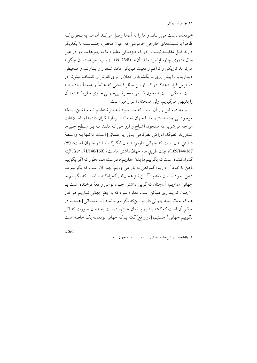۲۸ ← مرلو<sub>−</sub>پونت*ی* 

خودمان دست می رساند و ما را به آنها وصل میکند آن هم به نحوی کـه ظاهراً با نسبتهای خارجی خاموشی که اعیان محض، چشم بسته با یکدیگر دارند قابل مقايسه نيست. ادراك «نزديكي مطلق» ما به چيزهاست و در عين حال «دوري چارەنايذير» ما از آنها (23/8 W). از باب نمونه، ديدن چگونه می تواند تاریکی و تراکم واقعیت فیزیکی فاقد شعور را بـتارانـد و مـحیطی دیداریذیر را پیش روی ما بگشاید و جهان را برای کاوش و اکتشافِ بیش تر در دسترس قرار دهد؟ ادراک، از این منظر فلسفی که عالماً و عامداً سادهبینانه است، ممکن است همچون قسمی معجزهٔ اینجهانی جاری جلوه کند؛ ما اَن را بديهي مي گيريم، ولي همچنان اسرارآميز است.

وجه دوم این راز آن است که مـا خـود نـه فـرشتهایـم نـه مـاشین، بـلکه موجوداتی زنده هستیم. ما با جهان نه مانند پردازشگران دادهها و اطلاعات مواجه می شویم نه همچون اشباح و ارواحی که مانند مـه بـر سـطح چـیزها شناورند. نظرِگاه ادراکی نظرِگاهی بدنی [یا جسمانی] است. ما تنها بـه واسطهٔ داشتن بدن است که جهانی داریم: «بلدن لنگرگاه ما در جمهان است» (PP 169/144/167)؛ «بدن طريقِ عام جهانْ داشتن ماست» (169/146/169 PP). البته گمراه کننده است که بگوييم ما بدن «داريم»، درست همانطور که اگر بگوييم ذهن یا خود<sup>۱</sup> «داریم» گمراهی به بار می[وریم. بهتر اَن است که بگوییم مـا ذهن، خود یا بدن هستیم.<sup>(۴)</sup> این نیز همانقدر گمراه کننده است که بگوییم ما جهاني «داريم» أنچنان كه گويي داشتن جهان نوعي واقعهٔ فرخنده است يـا اّنچنان که پنداری ممکن است معلوم شود که به واقع جهانبی نداریم هر قدر هم که به نظر برسد جهانی داریم. اینکه بگوییم بدنمند [یا جسمانی] هستیم در حکم اَن است که گفته باشیم بدنمان هستیم، درست به همان صورت که اگر بگوییم جهانی <sup>۲</sup> هستیم، [در واقع]گفتهایم که جهانی بودن نه یک خاصه است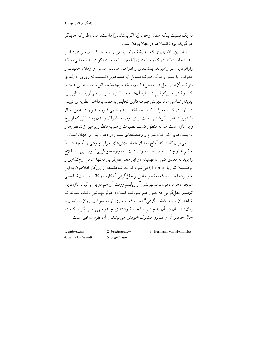زندگی و آثار ♦ ٢٩

نه يک نسبت بلکه همان وجود [يا اگزيستانس] ماست. همان طور که هايدگر مي گويد، بودن انسانها در جهان بودن است.

بنابراین، اَن چیزی که اندیشهٔ مرلو۔یونتی را بـه حـرکت وامـی۱دارد ایـن اندیشه است که ادراک و بدنمندی [یا تجسد] نه مسئله گونند نه معمایی، بلکه رازاًلو د یا اسراراًمیزند. بدنمندی و ادراک، همانند هستی و زمان، حقیقت و معرفت، یا عشق و مرگ، صِرف مسائل (یا معماهایی) نیستند که روزی روزگاری بتوانيم أنها را حل (يا منحل) كنيم، بلكه سرچشمهٔ مسائل و معماهايي هستند کــه وقــتي مــيکوشيم در بــارهٔ اَن\عــا تأمــل کـنيم سـر بــر مــياورنـد. بـنابرايـن، پدیدارشناسی مرلو-پونتی صِرف کاری تحلیلی به قصد پرداختن نظریهای تبیینی در بارهٔ ادراک یا معرفت نیست، بـلکه ــ بـه وجـهی فـروتنانهتر و در عـین حـال بلندپروازانهتر ــ کوششي است براي توصيف ادراک و بدن به شکلي که از بيخ و بن تازه است هم به منظور کسب بصیرت و هم به منظور پرهیز از تناقض ها و بن بستهایی که آفت شرح و وصفهای سنتی از ذهن، بدن و جهان است.

میتوان گفت که آماج نمایان همهٔ تلاشهای مرلو-پـونتی و آنـچه دائـماً حکم خار چشم او در فلسفه را داشت، همواره عقلگرایی ٰ بود. این اصطلاح را باید به معنای کلی اَن فهمید؛ در این معنا عقلگرایی نهتنها شامل ارجگذاری و برکشیدن تئوریا (theôria) می شود که معرف فلسفه از روزگار افلاطون به این سو بو ده است، بلکه به نحو خاص تر تعقلگرامی<sup>۲</sup> دکارت و کانت و روان شناسانی همچون هرمان فون\_هلمهولتس "و ويلهلم وونت " را هم در بر ٍ مي گير د. تازهترين تجسم عقلگرایی که هنوز هم سرزنده است و مرلو-پیونتی زنیده نـماند تـا شاهد اَن باشد شناختگرایی<sup>۵</sup> است که بسیاری از فیلسوفان، روان شـناسان و زبان شناسان در آن به چشم مشخصهٔ رشتهای چندوجهی می نگرند کـه در حال حاضر آن را قلمرو مشترک خویش می بینند، و آن علوم شناختی است.

1. rationalism

2. intellectualism

3. Hermann von-Helmholtz

- 4. Wilhelm Wundt
- 5. cognitivism